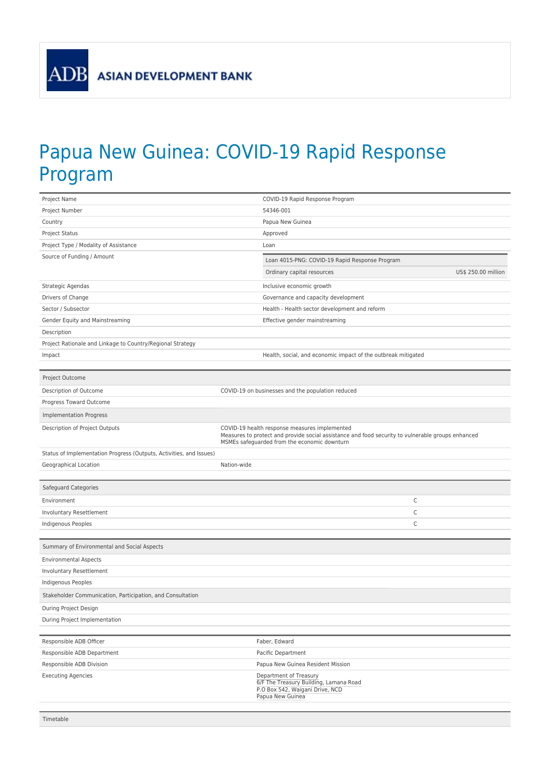## Papua New Guinea: COVID-19 Rapid Response Program

|                                                                     | COVID-19 Rapid Response Program                                                                                                                                                                    |                     |
|---------------------------------------------------------------------|----------------------------------------------------------------------------------------------------------------------------------------------------------------------------------------------------|---------------------|
| Project Number                                                      | 54346-001                                                                                                                                                                                          |                     |
| Country                                                             | Papua New Guinea                                                                                                                                                                                   |                     |
| Project Status                                                      | Approved                                                                                                                                                                                           |                     |
| Project Type / Modality of Assistance                               | Loan                                                                                                                                                                                               |                     |
| Source of Funding / Amount                                          | Loan 4015-PNG: COVID-19 Rapid Response Program                                                                                                                                                     |                     |
|                                                                     | Ordinary capital resources                                                                                                                                                                         | US\$ 250.00 million |
| Strategic Agendas                                                   | Inclusive economic growth                                                                                                                                                                          |                     |
| Drivers of Change                                                   | Governance and capacity development                                                                                                                                                                |                     |
| Sector / Subsector                                                  | Health - Health sector development and reform                                                                                                                                                      |                     |
| Gender Equity and Mainstreaming                                     | Effective gender mainstreaming                                                                                                                                                                     |                     |
| Description                                                         |                                                                                                                                                                                                    |                     |
| Project Rationale and Linkage to Country/Regional Strategy          |                                                                                                                                                                                                    |                     |
| Impact                                                              | Health, social, and economic impact of the outbreak mitigated                                                                                                                                      |                     |
|                                                                     |                                                                                                                                                                                                    |                     |
| Project Outcome                                                     |                                                                                                                                                                                                    |                     |
| Description of Outcome                                              | COVID-19 on businesses and the population reduced                                                                                                                                                  |                     |
| Progress Toward Outcome                                             |                                                                                                                                                                                                    |                     |
| <b>Implementation Progress</b>                                      |                                                                                                                                                                                                    |                     |
| Description of Project Outputs                                      | COVID-19 health response measures implemented<br>Measures to protect and provide social assistance and food security to vulnerable groups enhanced<br>MSMEs safeguarded from the economic downturn |                     |
| Status of Implementation Progress (Outputs, Activities, and Issues) |                                                                                                                                                                                                    |                     |
| Geographical Location                                               | Nation-wide                                                                                                                                                                                        |                     |
|                                                                     |                                                                                                                                                                                                    |                     |
|                                                                     |                                                                                                                                                                                                    |                     |
| Safeguard Categories                                                |                                                                                                                                                                                                    |                     |
| Environment                                                         | C                                                                                                                                                                                                  |                     |
| Involuntary Resettlement                                            | C                                                                                                                                                                                                  |                     |
| Indigenous Peoples                                                  | C                                                                                                                                                                                                  |                     |
|                                                                     |                                                                                                                                                                                                    |                     |
| Summary of Environmental and Social Aspects                         |                                                                                                                                                                                                    |                     |
| <b>Environmental Aspects</b>                                        |                                                                                                                                                                                                    |                     |
| <b>Involuntary Resettlement</b>                                     |                                                                                                                                                                                                    |                     |
| Indigenous Peoples                                                  |                                                                                                                                                                                                    |                     |
| Stakeholder Communication, Participation, and Consultation          |                                                                                                                                                                                                    |                     |
| During Project Design                                               |                                                                                                                                                                                                    |                     |
| During Project Implementation                                       |                                                                                                                                                                                                    |                     |
|                                                                     |                                                                                                                                                                                                    |                     |
| Responsible ADB Officer                                             | Faber, Edward                                                                                                                                                                                      |                     |
| Responsible ADB Department                                          | Pacific Department                                                                                                                                                                                 |                     |
| Responsible ADB Division                                            | Papua New Guinea Resident Mission                                                                                                                                                                  |                     |
| <b>Executing Agencies</b>                                           | Department of Treasury<br>6/F The Treasury Building, Lamana Road<br>P.O Box 542, Waigani Drive, NCD<br>Papua New Guinea                                                                            |                     |